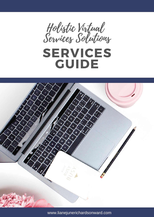





www.lianejunerichardsonward.com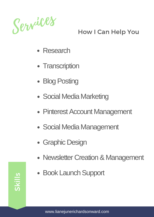

# How I Can Help You

- Research
- Transcription
- Blog Posting
- Social Media Marketing
- Pinterest Account Management
- Social Media Management
- Graphic Design
- Newsletter Creation & Management
- Book Launch Support

 $\boldsymbol{\mathsf{U}}$ kills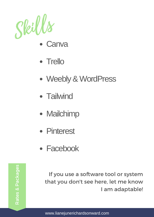

- **Canva**
- Trello
- Weebly & WordPress
- Tailwind
- Mailchimp
- Pinterest
- Facebook

**Fees are due before start of am adaptable!** If you use a software tool or system that you don't see here, let me know

Used in 15 minute increments until all hours are used. Universed hours expire after 90 days. However, the experimental product after 90 days. However, the experimental using the tracking tool toggl.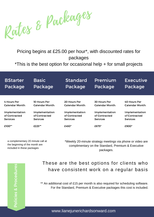

Pricing begins at £25.00 per hour\*, with discounted rates for packages

\*This is the best option for occasional help + for small projects

| <b>BStarter</b>        | <b>Basic</b>    | <b>Standard</b> | Premium             | <b>Executive</b> |
|------------------------|-----------------|-----------------|---------------------|------------------|
| Package                | Package         | Package         | Package             | Package          |
| 4 Hours Per            | 10 Hours Per    | 20 Hours Per    | <b>30 Hours Per</b> | 40 Hours Per     |
| <b>Calendar Month:</b> | Calendar Month: | Calendar Month: | Calendar Month:     | Calendar Month:  |
| Implementation         | Implementation  | Implementation  | Implementation      | Implementation   |
| of Contracted          | of Contracted   | of Contracted   | of Contracted       | of Contracted    |
| <b>Services</b>        | <b>Services</b> | <b>Services</b> | <b>Services</b>     | <b>Services</b>  |
| $£100**$               | £225**          | £450*           | £675*               | £900*            |

a complementary 20 minute call at the beginning of the month are included in these packages

\*Weekly 20-minute strategy meetings via phone or video are complimentary on the Standard, Premium & Executive packages.

 $\bf \Omega$ olicie s&<u>ים</u>  $\mathbf \omega$  $\mathbf \omega$  $\overline{\mathbf{C}}$ ures

#### These are the best options for clients who have consistent work on a regular basis

\*\* An additional cost of £15 per month is also required for scheduling software. For the Standard, Premium & Executive packages this cost is included.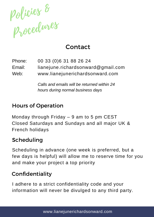

## Contact

00 33 (0)6 31 88 26 24 lianejune.richardsonward@gmail.com www.lianejunerichardsonward.com Phone: Email: Web:

> *Calls and emails will be returned within 24 hours during normal business days*

### Hours of Operation

Monday through Friday – 9 am to 5 pm CEST Closed Saturdays and Sundays and all major UK & French holidays

### Scheduling

Scheduling in advance (one week is preferred, but a few days is helpful) will allow me to reserve time for you and make your project a top priority

### Confidentiality

I adhere to a strict confidentiality code and your information will never be divulged to any third party.